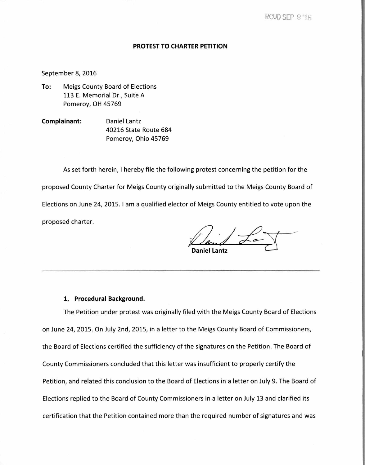## **PROTEST TO CHARTER PETITION**

## September 8, 2016

- **To:** Meigs County Board of Elections 113 E. Memorial Dr., Suite A Pomeroy, OH 45769
- **Complainant:** Daniel Lantz 40216 State Route 684 Pomeroy, Ohio 45769

As set forth herein, I hereby file the following protest concerning the petition for the proposed County Charter for Meigs County originally submitted to the Meigs County Board of Elections on June 24, 2015. I am a qualified elector of Meigs County entitled to vote upon the proposed charter.

**Daniel Lantz** 

## **1. Procedural Background.**

The Petition under protest was originally filed with the Meigs County Board of Elections on June 24, 2015. On July 2nd, 2015, in a letter to the Meigs County Board of Commissioners, the Board of Elections certified the sufficiency of the signatures on the Petition. The Board of County Commissioners concluded that this letter was insufficient to properly certify the Petition, and related this conclusion to the Board of Elections in a letter on July 9. The Board of Elections replied to the Board of County Commissioners in a letter on July 13 and clarified its certification that the Petition contained more than the required number of signatures and was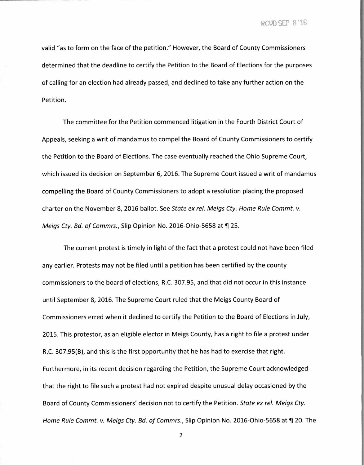RCUD SEP 8'16

valid "as to form on the face of the petition." However, the Board of County Commissioners determined that the deadline to certify the Petition to the Board of Elections for the purposes of calling for an election had already passed, and declined to take any further action on the Petition.

The committee for the Petition commenced litigation in the Fourth District Court of Appeals, seeking a writ of mandamus to compel the Board of County Commissioners to certify the Petition to the Board of Elections. The case eventually reached the Ohio Supreme Court, which issued its decision on September 6, 2016. The Supreme Court issued a writ of mandamus compelling the Board of County Commissioners to adopt a resolution placing the proposed charter on the November 8, 2016 ballot. See State ex rel. Meigs Cty. Home Rule Commt. v. Meigs Cty. Bd. of Commrs., Slip Opinion No. 2016-Ohio-5658 at ¶ 25.

The current protest is timely in light of the fact that a protest could not have been filed any earlier. Protests may not be filed until a petition has been certified by the county commissioners to the board of elections, R.C. 307.95, and that did not occur in this instance until September 8, 2016. The Supreme Court ruled that the Meigs County Board of Commissioners erred when it declined to certify the Petition to the Board of Elections in July, 2015. This protestor, as an eligible elector in Meigs County, has a right to file a protest under R.C. 307.95(B), and this is the first opportunity that he has had to exercise that right. Furthermore, in its recent decision regarding the Petition, the Supreme Court acknowledged that the right to file such a protest had not expired despite unusual delay occasioned by the Board of County Commissioners' decision not to certify the Petition. State ex rel. Meigs Cty. Home Rule Commt. v. Meigs Cty. Bd. of Commrs., Slip Opinion No. 2016-Ohio-5658 at ¶ 20. The

2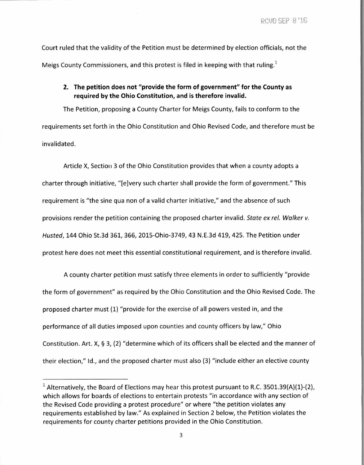RCVD SEP 8'16

Court ruled that the validity of the Petition must be determined by election officials, not the Meigs County Commissioners, and this protest is filed in keeping with that ruling.<sup>1</sup>

**2. The petition does not "provide the form of government" for the County as required by the Ohio Constitution, and is therefore invalid.** 

The Petition, proposing a County Charter for Meigs County, fails to conform to the requirements set forth in the Ohio Constitution and Ohio Revised Code, and therefore must be invalidated.

Article X, Section 3 of the Ohio Constitution provides that when a county adopts a charter through initiative, "[e]very such charter shall provide the form of government." This requirement is "the sine qua non of a valid charter initiative," and the absence of such provisions render the petition containing the proposed charter invalid. State ex rel. Walker v. Husted, 144 Ohio St.3d 361, 366, 2015-Ohio-3749, 43 N.E.3d 419, 425. The Petition under protest here does not meet this essential constitutional requirement, and is therefore invalid.

A county charter petition must satisfy three elements in order to sufficiently "provide the form of government" as required by the Ohio Constitution and the Ohio Revised Code. The proposed charter must (1) "provide for the exercise of all powers vested in, and the performance of all duties imposed upon counties and county officers by law," Ohio Constitution. Art. X, § 3, (2) "determine which of its officers shall be elected and the manner of their election," Id., and the proposed charter must also (3) "include either an elective county

<sup>&</sup>lt;sup>1</sup> Alternatively, the Board of Elections may hear this protest pursuant to R.C. 3501.39(A)(1)-(2), which allows for boards of elections to entertain protests "in accordance with any section of the Revised Code providing a protest procedure" or where "the petition violates any requirements established by law." As explained in Section 2 below, the Petition violates the requirements for county charter petitions provided in the Ohio Constitution.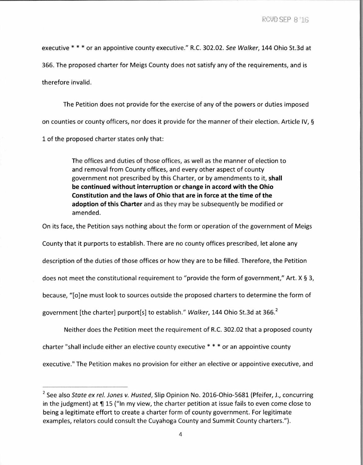executive \* \* \* or an appointive county executive." R.C. 302.02. See Walker, 144 Ohio St.3d at

366. The proposed charter for Meigs County does not satisfy any of the requirements, and is

therefore invalid.

The Petition does not provide for the exercise of any of the powers or duties imposed on counties or county officers, nor does it provide for the manner of their election. Article IV, § 1 of the proposed charter states only that:

> The offices and duties of those offices, as well as the manner of election to and removal from County offices, and every other aspect of county government not prescribed by this Charter, or by amendments to it, **shall be continued without interruption or change in accord with the Ohio Constitution and the laws of Ohio that are in force at the time of the adoption of this Charter** and as they may be subsequently be modified or amended.

On its face, the Petition says nothing about the form or operation of the government of Meigs

County that it purports to establish. There are no county offices prescribed, let alone any

description of the duties of those offices or how they are to be filled. Therefore, the Petition

does not meet the constitutional requirement to "provide the form of government," Art. X § 3,

because, "[o]ne must look to sources outside the proposed charters to determine the form of

government [the charter] purport[s] to establish." Walker, 144 Ohio St.3d at 366. $^2$ 

Neither does the Petition meet the requirement of R.C. 302.02 that a proposed county

charter "shall include either an elective county executive \* \* \* or an appointive county

executive." The Petition makes no provision for either an elective or appointive executive, and

<sup>2</sup> See also State ex rel. Jones v. Husted, Slip Opinion No. 2016-Ohio-5681 (Pfeifer, J., concurring in the judgment) at  $\P$  15 ("In my view, the charter petition at issue fails to even come close to being a legitimate effort to create a charter form of county government. For legitimate examples, relators could consult the Cuyahoga County and Summit County charters.").